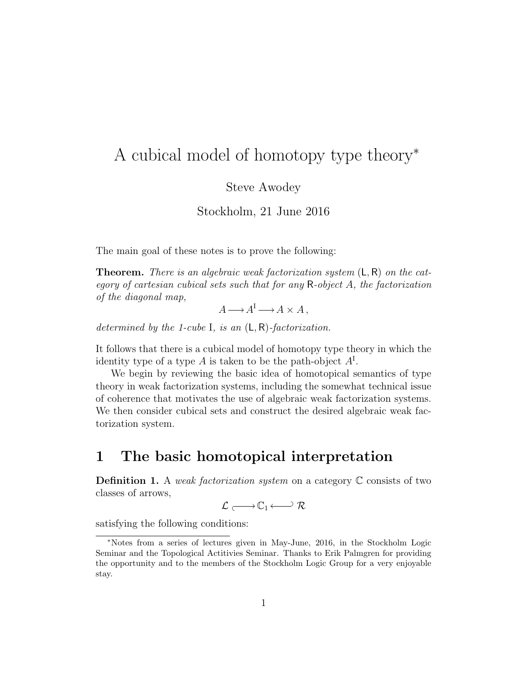# A cubical model of homotopy type theory<sup>∗</sup>

Steve Awodey

Stockholm, 21 June 2016

The main goal of these notes is to prove the following:

**Theorem.** There is an algebraic weak factorization system  $(L, R)$  on the category of cartesian cubical sets such that for any R-object A, the factorization of the diagonal map,

$$
A \longrightarrow A^{I} \longrightarrow A \times A,
$$

determined by the 1-cube I, is an  $(L, R)$ -factorization.

It follows that there is a cubical model of homotopy type theory in which the identity type of a type A is taken to be the path-object  $A<sup>I</sup>$ .

We begin by reviewing the basic idea of homotopical semantics of type theory in weak factorization systems, including the somewhat technical issue of coherence that motivates the use of algebraic weak factorization systems. We then consider cubical sets and construct the desired algebraic weak factorization system.

### 1 The basic homotopical interpretation

**Definition 1.** A weak factorization system on a category  $\mathbb C$  consists of two classes of arrows,

$$
\mathcal{L} \xrightarrow{\quad} \mathbb{C}_1 \xleftarrow{\quad} \mathcal{R}
$$

satisfying the following conditions:

<sup>∗</sup>Notes from a series of lectures given in May-June, 2016, in the Stockholm Logic Seminar and the Topological Actitivies Seminar. Thanks to Erik Palmgren for providing the opportunity and to the members of the Stockholm Logic Group for a very enjoyable stay.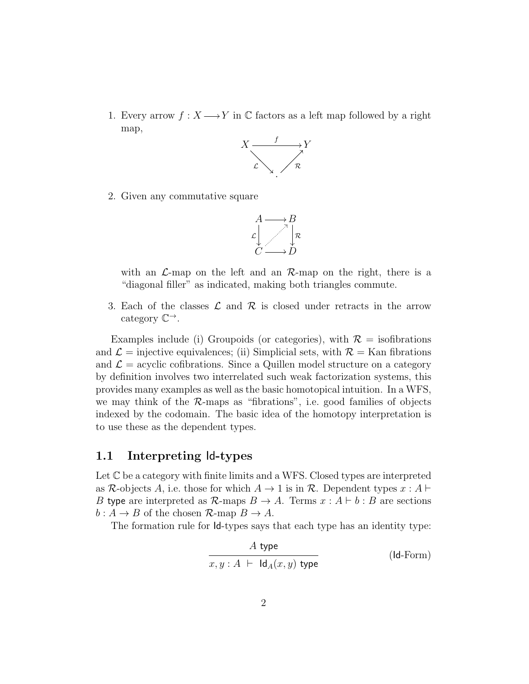1. Every arrow  $f: X \longrightarrow Y$  in C factors as a left map followed by a right map,



2. Given any commutative square



with an  $\mathcal{L}$ -map on the left and an  $\mathcal{R}$ -map on the right, there is a "diagonal filler" as indicated, making both triangles commute.

3. Each of the classes  $\mathcal L$  and  $\mathcal R$  is closed under retracts in the arrow category  $\mathbb{C}^{\to}$ .

Examples include (i) Groupoids (or categories), with  $\mathcal{R} =$  isofibrations and  $\mathcal{L} =$  injective equivalences; (ii) Simplicial sets, with  $\mathcal{R} =$  Kan fibrations and  $\mathcal{L} =$  acyclic cofibrations. Since a Quillen model structure on a category by definition involves two interrelated such weak factorization systems, this provides many examples as well as the basic homotopical intuition. In a WFS, we may think of the  $R$ -maps as "fibrations", i.e. good families of objects indexed by the codomain. The basic idea of the homotopy interpretation is to use these as the dependent types.

#### 1.1 Interpreting Id-types

Let  $\mathbb C$  be a category with finite limits and a WFS. Closed types are interpreted as R-objects A, i.e. those for which  $A \to 1$  is in R. Dependent types  $x : A \vdash$ B type are interpreted as  $\mathcal{R}$ -maps  $B \to A$ . Terms  $x : A \vdash b : B$  are sections  $b: A \to B$  of the chosen  $\mathcal{R}$ -map  $B \to A$ .

The formation rule for Id-types says that each type has an identity type:

$$
\cfrac{A \text{ type}}{x, y : A \vdash \text{Id}_A(x, y) \text{ type}}
$$
 (Id-Form)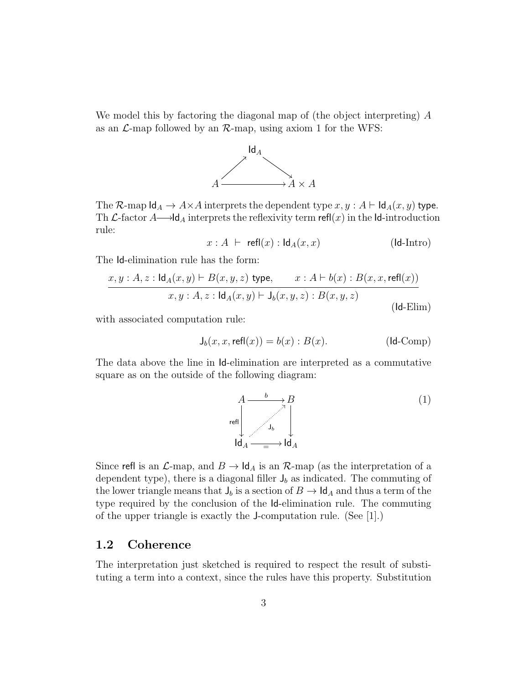We model this by factoring the diagonal map of (the object interpreting) A as an  $\mathcal{L}$ -map followed by an  $\mathcal{R}$ -map, using axiom 1 for the WFS:



The R-map  $\mathsf{Id}_A \to A \times A$  interprets the dependent type  $x, y : A \vdash \mathsf{Id}_A(x, y)$  type. Th  $\mathcal L$ -factor  $A \longrightarrow \mathsf{Id}_A$  interprets the reflexivity term refl(x) in the Id-introduction rule:

$$
x : A \ \vdash \ \mathsf{refl}(x) : \mathsf{Id}_A(x, x) \tag{Id-Intro}
$$

The Id-elimination rule has the form:

$$
\frac{x, y : A, z : \mathsf{Id}_A(x, y) \vdash B(x, y, z) \text{ type}, \qquad x : A \vdash b(x) : B(x, x, \mathsf{refl}(x))}{x, y : A, z : \mathsf{Id}_A(x, y) \vdash \mathsf{J}_b(x, y, z) : B(x, y, z)}
$$
\n
$$
\text{(Id-Elim)}
$$

with associated computation rule:

$$
\mathsf{J}_b(x, x, \mathsf{refl}(x)) = b(x) : B(x). \tag{Id-Comp}
$$

The data above the line in Id-elimination are interpreted as a commutative square as on the outside of the following diagram:



Since refl is an  $\mathcal{L}$ -map, and  $B \to \mathsf{Id}_A$  is an  $\mathcal{R}$ -map (as the interpretation of a dependent type), there is a diagonal filler  $J_b$  as indicated. The commuting of the lower triangle means that  $J_b$  is a section of  $B \to \mathsf{Id}_A$  and thus a term of the type required by the conclusion of the Id-elimination rule. The commuting of the upper triangle is exactly the J-computation rule. (See [1].)

#### 1.2 Coherence

The interpretation just sketched is required to respect the result of substituting a term into a context, since the rules have this property. Substitution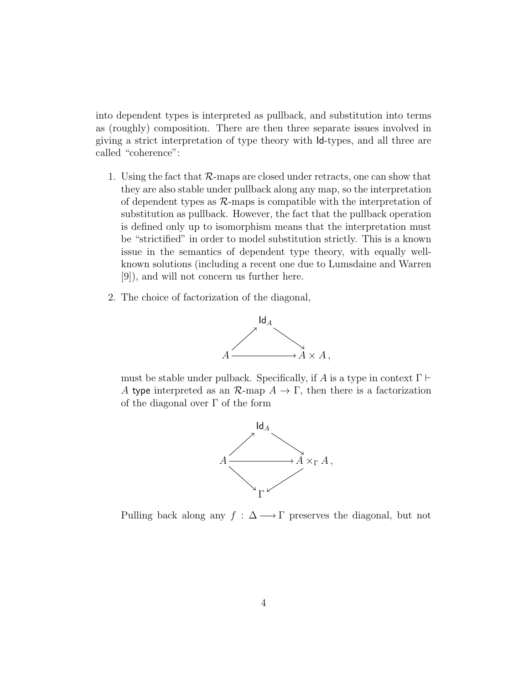into dependent types is interpreted as pullback, and substitution into terms as (roughly) composition. There are then three separate issues involved in giving a strict interpretation of type theory with Id-types, and all three are called "coherence":

- 1. Using the fact that  $R$ -maps are closed under retracts, one can show that they are also stable under pullback along any map, so the interpretation of dependent types as  $R$ -maps is compatible with the interpretation of substitution as pullback. However, the fact that the pullback operation is defined only up to isomorphism means that the interpretation must be "strictified" in order to model substitution strictly. This is a known issue in the semantics of dependent type theory, with equally wellknown solutions (including a recent one due to Lumsdaine and Warren [9]), and will not concern us further here.
- 2. The choice of factorization of the diagonal,



must be stable under pulback. Specifically, if A is a type in context  $\Gamma \vdash$ A type interpreted as an  $\mathcal{R}$ -map  $A \to \Gamma$ , then there is a factorization of the diagonal over  $\Gamma$  of the form



Pulling back along any  $f : \Delta \longrightarrow \Gamma$  preserves the diagonal, but not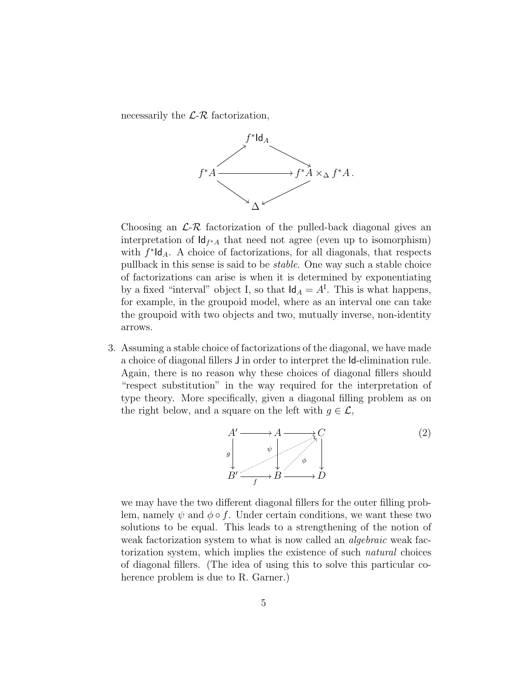necessarily the  $\mathcal{L}\text{-}\mathcal{R}$  factorization,



Choosing an  $\mathcal{L}\text{-}\mathcal{R}$  factorization of the pulled-back diagonal gives an interpretation of  $\mathsf{Id}_{f^*A}$  that need not agree (even up to isomorphism) with  $f^*$ ld<sub>A</sub>. A choice of factorizations, for all diagonals, that respects pullback in this sense is said to be stable. One way such a stable choice of factorizations can arise is when it is determined by exponentiating by a fixed "interval" object I, so that  $\mathsf{Id}_A = A^{\mathrm{I}}$ . This is what happens, for example, in the groupoid model, where as an interval one can take the groupoid with two objects and two, mutually inverse, non-identity arrows.

3. Assuming a stable choice of factorizations of the diagonal, we have made a choice of diagonal fillers J in order to interpret the Id-elimination rule. Again, there is no reason why these choices of diagonal fillers should "respect substitution" in the way required for the interpretation of type theory. More specifically, given a diagonal filling problem as on the right below, and a square on the left with  $g \in \mathcal{L}$ ,



we may have the two different diagonal fillers for the outer filling problem, namely  $\psi$  and  $\phi \circ f$ . Under certain conditions, we want these two solutions to be equal. This leads to a strengthening of the notion of weak factorization system to what is now called an *algebraic* weak factorization system, which implies the existence of such natural choices of diagonal fillers. (The idea of using this to solve this particular coherence problem is due to R. Garner.)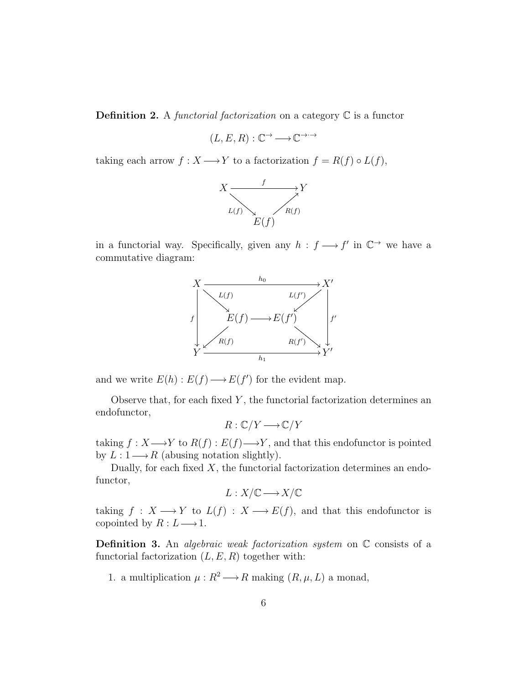**Definition 2.** A functorial factorization on a category  $\mathbb C$  is a functor

$$
(L, E, R) : \mathbb{C}^{\to} \longrightarrow \mathbb{C}^{\to} \rightarrow
$$

taking each arrow  $f : X \longrightarrow Y$  to a factorization  $f = R(f) \circ L(f)$ ,



in a functorial way. Specifically, given any  $h : f \longrightarrow f'$  in  $\mathbb{C}^{\rightarrow}$  we have a commutative diagram:



and we write  $E(h): E(f) \longrightarrow E(f')$  for the evident map.

Observe that, for each fixed  $Y$ , the functorial factorization determines an endofunctor,

$$
R: \mathbb{C}/Y \longrightarrow \mathbb{C}/Y
$$

taking  $f: X \longrightarrow Y$  to  $R(f): E(f) \longrightarrow Y$ , and that this endofunctor is pointed by  $L: 1 \longrightarrow R$  (abusing notation slightly).

Dually, for each fixed  $X$ , the functorial factorization determines an endofunctor,

$$
L:X/\mathbb{C}\longrightarrow X/\mathbb{C}
$$

taking  $f : X \longrightarrow Y$  to  $L(f) : X \longrightarrow E(f)$ , and that this endofunctor is copointed by  $R: L \longrightarrow 1$ .

**Definition 3.** An *algebraic weak factorization system* on  $\mathbb C$  consists of a functorial factorization  $(L, E, R)$  together with:

1. a multiplication  $\mu : R^2 \longrightarrow R$  making  $(R, \mu, L)$  a monad,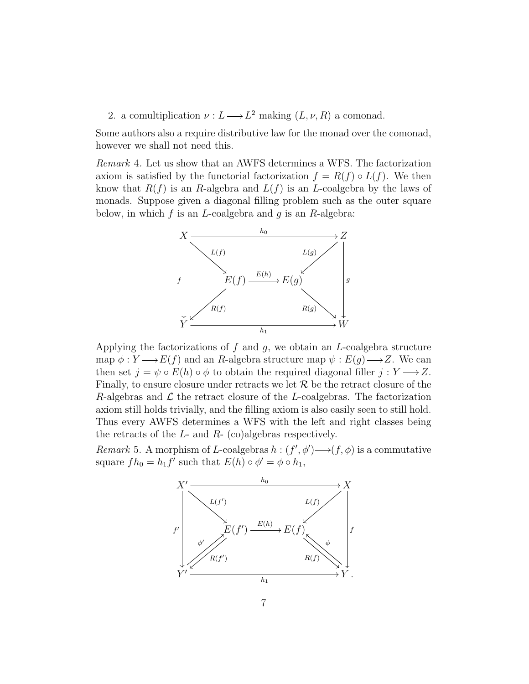2. a comultiplication  $\nu : L \longrightarrow L^2$  making  $(L, \nu, R)$  a comonad.

Some authors also a require distributive law for the monad over the comonad, however we shall not need this.

Remark 4. Let us show that an AWFS determines a WFS. The factorization axiom is satisfied by the functorial factorization  $f = R(f) \circ L(f)$ . We then know that  $R(f)$  is an R-algebra and  $L(f)$  is an L-coalgebra by the laws of monads. Suppose given a diagonal filling problem such as the outer square below, in which  $f$  is an  $L$ -coalgebra and  $g$  is an  $R$ -algebra:



Applying the factorizations of  $f$  and  $g$ , we obtain an  $L$ -coalgebra structure map  $\phi: Y \longrightarrow E(f)$  and an R-algebra structure map  $\psi: E(g) \longrightarrow Z$ . We can then set  $j = \psi \circ E(h) \circ \phi$  to obtain the required diagonal filler  $j : Y \longrightarrow Z$ . Finally, to ensure closure under retracts we let  $R$  be the retract closure of the R-algebras and  $\mathcal L$  the retract closure of the L-coalgebras. The factorization axiom still holds trivially, and the filling axiom is also easily seen to still hold. Thus every AWFS determines a WFS with the left and right classes being the retracts of the  $L$ - and  $R$ - (co)algebras respectively.

Remark 5. A morphism of L-coalgebras  $h: (f', \phi') \longrightarrow (f, \phi)$  is a commutative square  $fh_0 = h_1 f'$  such that  $E(h) \circ \phi' = \phi \circ h_1$ ,

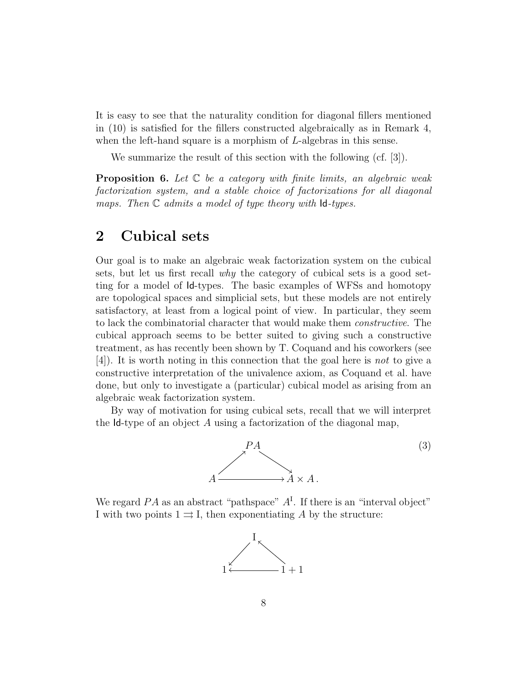It is easy to see that the naturality condition for diagonal fillers mentioned in (10) is satisfied for the fillers constructed algebraically as in Remark 4, when the left-hand square is a morphism of L-algebras in this sense.

We summarize the result of this section with the following (cf. [3]).

**Proposition 6.** Let  $\mathbb C$  be a category with finite limits, an algebraic weak factorization system, and a stable choice of factorizations for all diagonal maps. Then  $\mathbb C$  admits a model of type theory with  $\mathsf{Id}\text{-}\mathsf{types}.$ 

## 2 Cubical sets

Our goal is to make an algebraic weak factorization system on the cubical sets, but let us first recall why the category of cubical sets is a good setting for a model of Id-types. The basic examples of WFSs and homotopy are topological spaces and simplicial sets, but these models are not entirely satisfactory, at least from a logical point of view. In particular, they seem to lack the combinatorial character that would make them constructive. The cubical approach seems to be better suited to giving such a constructive treatment, as has recently been shown by T. Coquand and his coworkers (see [4]). It is worth noting in this connection that the goal here is not to give a constructive interpretation of the univalence axiom, as Coquand et al. have done, but only to investigate a (particular) cubical model as arising from an algebraic weak factorization system.

By way of motivation for using cubical sets, recall that we will interpret the  $Id$ -type of an object A using a factorization of the diagonal map,



We regard  $PA$  as an abstract "pathspace"  $A<sup>I</sup>$ . If there is an "interval object" I with two points  $1 \rightrightarrows I$ , then exponentiating A by the structure:

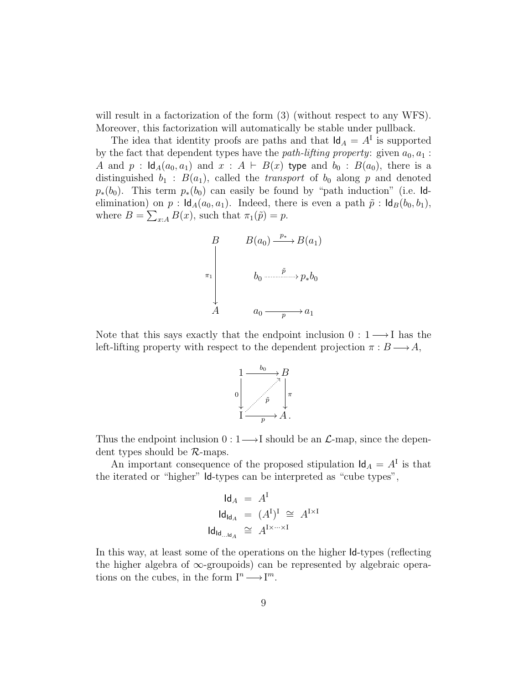will result in a factorization of the form  $(3)$  (without respect to any WFS). Moreover, this factorization will automatically be stable under pullback.

The idea that identity proofs are paths and that  $\mathsf{Id}_A = A^{\mathsf{I}}$  is supported by the fact that dependent types have the *path-lifting property*: given  $a_0, a_1$ : A and  $p : \text{Id}_{A}(a_0, a_1)$  and  $x : A \vdash B(x)$  type and  $b_0 : B(a_0)$ , there is a distinguished  $b_1 : B(a_1)$ , called the *transport* of  $b_0$  along p and denoted  $p_*(b_0)$ . This term  $p_*(b_0)$  can easily be found by "path induction" (i.e. Idelimination) on  $p : \mathsf{Id}_A(a_0, a_1)$ . Indeed, there is even a path  $\tilde{p} : \mathsf{Id}_B(b_0, b_1)$ , where  $B = \sum_{x:A} B(x)$ , such that  $\pi_1(\tilde{p}) = p$ .



Note that this says exactly that the endpoint inclusion  $0: 1 \longrightarrow I$  has the left-lifting property with respect to the dependent projection  $\pi : B \longrightarrow A$ ,



Thus the endpoint inclusion  $0:1 \longrightarrow I$  should be an  $\mathcal{L}$ -map, since the dependent types should be  $R$ -maps.

An important consequence of the proposed stipulation  $\mathsf{Id}_A = A^{\mathsf{T}}$  is that the iterated or "higher" Id-types can be interpreted as "cube types",

$$
d_A = AI
$$
  

$$
d_{Id_A} = (AI)I \cong AI\times I
$$
  

$$
d_{Id_{I\times Jd_A}} \cong AI\times \cdots \times I
$$

In this way, at least some of the operations on the higher Id-types (reflecting the higher algebra of  $\infty$ -groupoids) can be represented by algebraic operations on the cubes, in the form  $I^n \longrightarrow I^m$ .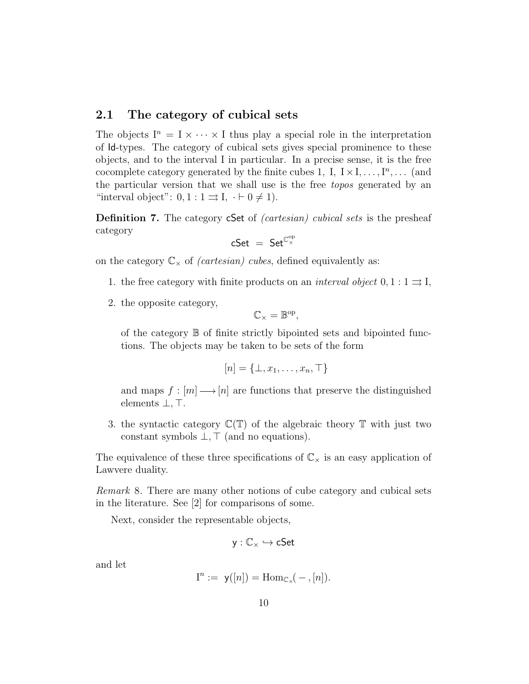### 2.1 The category of cubical sets

The objects  $I^n = I \times \cdots \times I$  thus play a special role in the interpretation of Id-types. The category of cubical sets gives special prominence to these objects, and to the interval I in particular. In a precise sense, it is the free cocomplete category generated by the finite cubes 1, I,  $I \times I, \ldots, I^{n}, \ldots$  (and the particular version that we shall use is the free topos generated by an "interval object":  $0, 1 : 1 \rightrightarrows I, \cdot \vdash 0 \neq 1$ ).

Definition 7. The category cSet of *(cartesian) cubical sets* is the presheaf category

$$
\mathsf{cSet} \ = \ \mathsf{Set}^{\mathbb{C}_\times^{\mathrm{op}}}
$$

on the category  $\mathbb{C}_{\times}$  of *(cartesian) cubes*, defined equivalently as:

- 1. the free category with finite products on an *interval object*  $0, 1 : 1 \rightrightarrows I$ ,
- 2. the opposite category,

$$
\mathbb{C}_{\times}=\mathbb{B}^{\mathrm{op}},
$$

of the category B of finite strictly bipointed sets and bipointed functions. The objects may be taken to be sets of the form

$$
[n] = \{\bot, x_1, \ldots, x_n, \top\}
$$

and maps  $f : [m] \longrightarrow [n]$  are functions that preserve the distinguished elements  $\bot$ ,  $\top$ .

3. the syntactic category  $\mathbb{C}(\mathbb{T})$  of the algebraic theory  $\mathbb{T}$  with just two constant symbols  $\bot$ ,  $\top$  (and no equations).

The equivalence of these three specifications of  $\mathbb{C}_{\times}$  is an easy application of Lawvere duality.

Remark 8. There are many other notions of cube category and cubical sets in the literature. See [2] for comparisons of some.

Next, consider the representable objects,

$$
y:\mathbb{C}_{\times}\hookrightarrow cSet
$$

and let

$$
I^n := y([n]) = \mathrm{Hom}_{\mathbb{C}_\times}(-,[n]).
$$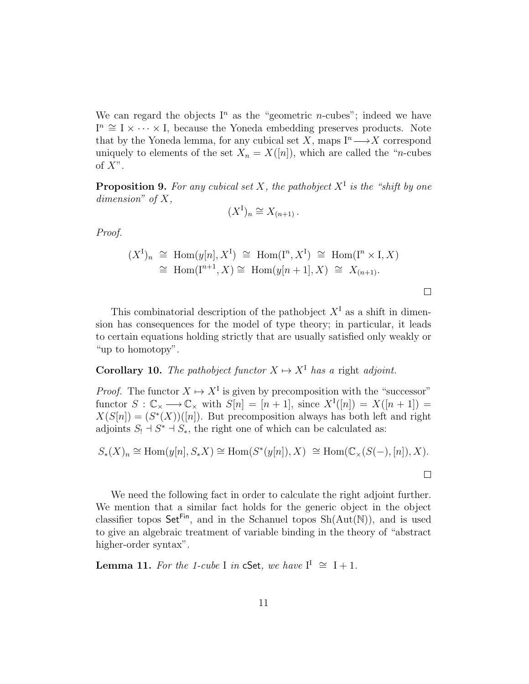We can regard the objects  $I<sup>n</sup>$  as the "geometric *n*-cubes"; indeed we have  $I^n \cong I \times \cdots \times I$ , because the Yoneda embedding preserves products. Note that by the Yoneda lemma, for any cubical set X, maps  $I^n \longrightarrow X$  correspond uniquely to elements of the set  $X_n = X([n])$ , which are called the "*n*-cubes" of  $X$ ".

**Proposition 9.** For any cubical set X, the pathobject  $X^{\text{I}}$  is the "shift by one dimension" of  $X$ ,

$$
(X^{\mathcal{I}})_n \cong X_{(n+1)}\,.
$$

Proof.

$$
(XI)n \cong Hom(y[n], XI) \cong Hom(In, XI) \cong Hom(In \times I, X)
$$
  
\cong Hom(I<sup>n+1</sup>, X) \cong Hom(y[n + 1], X) \cong X<sub>(n+1)</sub>.

This combinatorial description of the pathobject  $X<sup>I</sup>$  as a shift in dimension has consequences for the model of type theory; in particular, it leads to certain equations holding strictly that are usually satisfied only weakly or "up to homotopy".

### **Corollary 10.** The pathobject functor  $X \mapsto X^{\mathsf{T}}$  has a right adjoint.

*Proof.* The functor  $X \mapsto X^{\mathcal{I}}$  is given by precomposition with the "successor" functor  $S : \mathbb{C}_{\times} \longrightarrow \mathbb{C}_{\times}$  with  $S[n] = [n+1]$ , since  $X^{I}([n]) = X([n+1]) =$  $X(S[n]) = (S^*(X))([n])$ . But precomposition always has both left and right adjoints  $S_! \rightharpoonup S^* \rightharpoonup S_*$ , the right one of which can be calculated as:

$$
S_*(X)_n \cong \text{Hom}(y[n], S_*X) \cong \text{Hom}(S^*(y[n]), X) \cong \text{Hom}(\mathbb{C}_{\times}(S(-), [n]), X).
$$

We need the following fact in order to calculate the right adjoint further. We mention that a similar fact holds for the generic object in the object classifier topos  $\mathsf{Set}^{\mathsf{Fin}}$ , and in the Schanuel topos  $\mathrm{Sh}(\mathrm{Aut}(\mathbb{N}))$ , and is used to give an algebraic treatment of variable binding in the theory of "abstract higher-order syntax".

**Lemma 11.** For the 1-cube I in cSet, we have  $I^I \cong I + 1$ .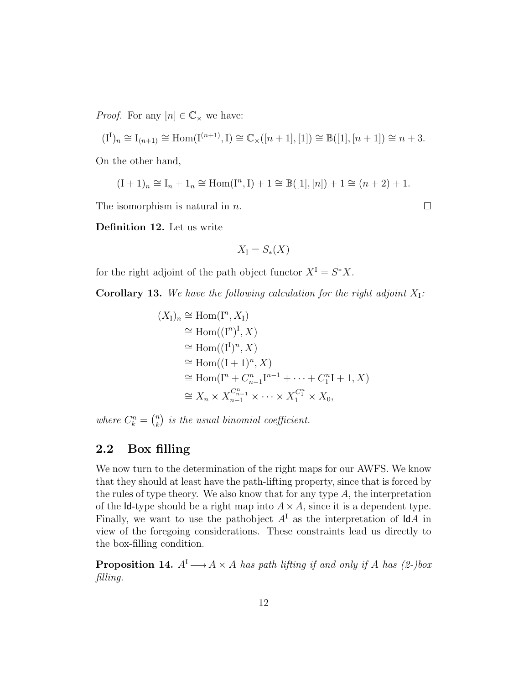*Proof.* For any  $[n] \in \mathbb{C}_{\times}$  we have:

$$
(\mathrm{I}^{\mathrm{I}})_n\cong\mathrm{I}_{(n+1)}\cong \mathrm{Hom}(\mathrm{I}^{(n+1)},\mathrm{I})\cong \mathbb{C}_\times([n+1],[1])\cong \mathbb{B}([1],[n+1])\cong n+3.
$$

On the other hand,

$$
(I + 1)n \cong In + 1n \cong Hom(In, I) + 1 \cong \mathbb{B}([1], [n]) + 1 \cong (n + 2) + 1.
$$

The isomorphism is natural in  $n$ .

 $\Box$ 

Definition 12. Let us write

$$
X_{\rm I}=S_*(X)
$$

for the right adjoint of the path object functor  $X^I = S^*X$ .

**Corollary 13.** We have the following calculation for the right adjoint  $X_I$ :

$$
(X_1)_n \cong \text{Hom}(\mathbf{I}^n, X_1)
$$
  
\n
$$
\cong \text{Hom}((\mathbf{I}^n)^{\mathsf{I}}, X)
$$
  
\n
$$
\cong \text{Hom}((\mathbf{I}^1)^n, X)
$$
  
\n
$$
\cong \text{Hom}(\mathbf{I}^n + \mathbf{C}_{n-1}^n \mathbf{I}^{n-1} + \dots + \mathbf{C}_1^n \mathbf{I} + \mathbf{1}, X)
$$
  
\n
$$
\cong X_n \times X_{n-1}^{C_{n-1}^n} \times \dots \times X_1^{C_1^n} \times X_0,
$$

where  $C_k^n = \binom{n}{k}$  $\binom{n}{k}$  is the usual binomial coefficient.

#### 2.2 Box filling

We now turn to the determination of the right maps for our AWFS. We know that they should at least have the path-lifting property, since that is forced by the rules of type theory. We also know that for any type  $A$ , the interpretation of the Id-type should be a right map into  $A \times A$ , since it is a dependent type. Finally, we want to use the pathobject  $A<sup>I</sup>$  as the interpretation of  $\mathsf{Id}A$  in view of the foregoing considerations. These constraints lead us directly to the box-filling condition.

**Proposition 14.**  $A^I \longrightarrow A \times A$  has path lifting if and only if A has (2-)box filling.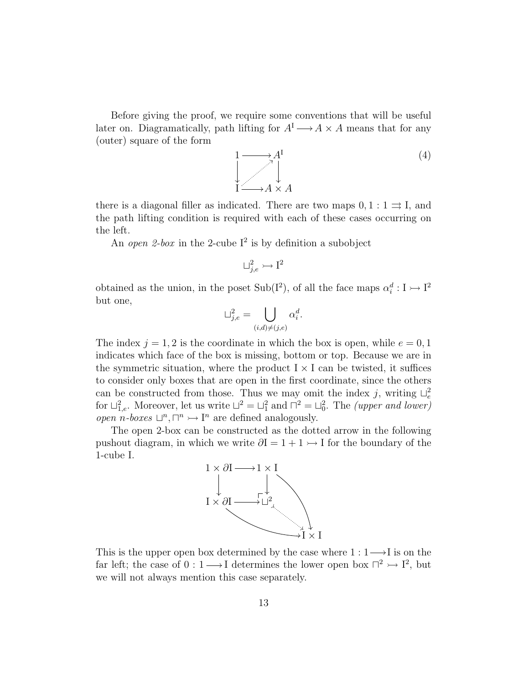Before giving the proof, we require some conventions that will be useful later on. Diagramatically, path lifting for  $A<sup>I</sup> \longrightarrow A \times A$  means that for any (outer) square of the form

$$
\begin{array}{ccc}\n1 & \longrightarrow & A^I \\
\downarrow & & \downarrow \\
\downarrow & & \downarrow \\
1 & \longrightarrow & A \times A\n\end{array} \tag{4}
$$

there is a diagonal filler as indicated. There are two maps  $0, 1 : 1 \implies I$ , and the path lifting condition is required with each of these cases occurring on the left.

An open 2-box in the 2-cube  $I^2$  is by definition a subobject

$$
\sqcup^2_{j,e}\rightarrowtail \mathrm{I}^2
$$

obtained as the union, in the poset Sub(I<sup>2</sup>), of all the face maps  $\alpha_i^d : I \rightarrow I^2$ but one,

$$
\sqcup_{j,e}^2 = \bigcup_{(i,d)\neq (j,e)} \alpha_i^d.
$$

The index  $j = 1, 2$  is the coordinate in which the box is open, while  $e = 0, 1$ indicates which face of the box is missing, bottom or top. Because we are in the symmetric situation, where the product  $I \times I$  can be twisted, it suffices to consider only boxes that are open in the first coordinate, since the others can be constructed from those. Thus we may omit the index j, writing  $\bigcup_{e}^{2}$ for  $\Box_{1,e}^2$ . Moreover, let us write  $\Box^2 = \Box_1^2$  and  $\Box^2 = \Box_0^2$ . The *(upper and lower)* open n-boxes  $\Box^n$ ,  $\Box^n \rightarrow \Box^n$  are defined analogously.

The open 2-box can be constructed as the dotted arrow in the following pushout diagram, in which we write  $\partial I = 1 + 1 \rightarrow I$  for the boundary of the 1-cube I.



This is the upper open box determined by the case where  $1: 1 \longrightarrow I$  is on the far left; the case of  $0: 1 \longrightarrow I$  determines the lower open box  $\Box^2 \rightarrow I^2$ , but we will not always mention this case separately.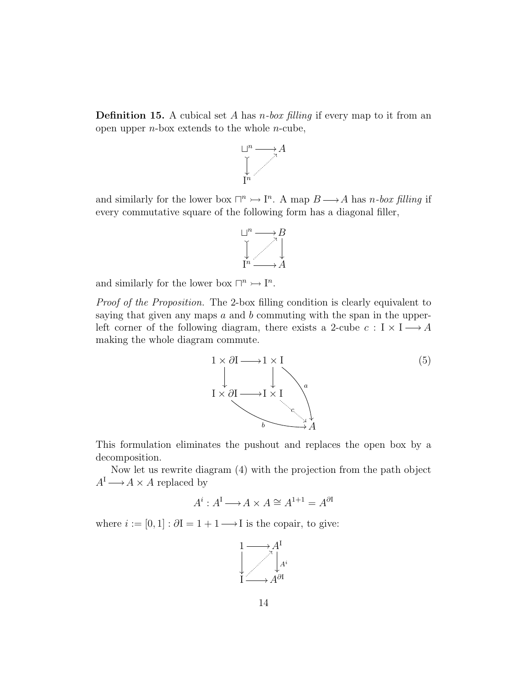**Definition 15.** A cubical set A has *n*-box filling if every map to it from an open upper  $n$ -box extends to the whole  $n$ -cube,



and similarly for the lower box  $\Box^n \rightarrow \Box^n$ . A map  $B \rightarrow A$  has n-box filling if every commutative square of the following form has a diagonal filler,



and similarly for the lower box  $\Box^n \rightarrow \Box^n$ .

Proof of the Proposition. The 2-box filling condition is clearly equivalent to saying that given any maps  $a$  and  $b$  commuting with the span in the upperleft corner of the following diagram, there exists a 2-cube  $c: I \times I \longrightarrow A$ making the whole diagram commute.



This formulation eliminates the pushout and replaces the open box by a decomposition.

Now let us rewrite diagram (4) with the projection from the path object  $A^I \longrightarrow A \times A$  replaced by

$$
A^i : A^I \longrightarrow A \times A \cong A^{1+1} = A^{\partial I}
$$

where  $i := [0, 1] : \partial I = 1 + 1 \longrightarrow I$  is the copair, to give:

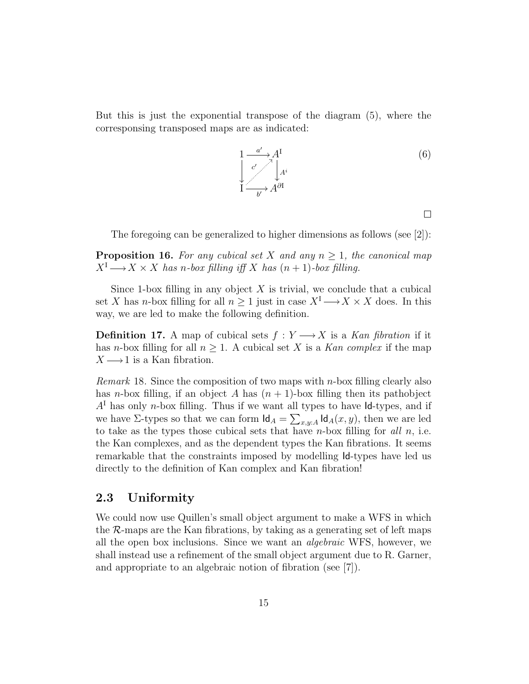But this is just the exponential transpose of the diagram (5), where the corresponsing transposed maps are as indicated:

$$
\begin{array}{ccc}\n1 & \xrightarrow{a'} & A^I \\
\downarrow & \searrow & \searrow & \\
\downarrow & & \searrow & A^i \\
\downarrow & & & \searrow & A^{\partial I}\n\end{array} \tag{6}
$$

 $\Box$ 

The foregoing can be generalized to higher dimensions as follows (see [2]):

**Proposition 16.** For any cubical set X and any  $n \geq 1$ , the canonical map  $X^I \longrightarrow X \times X$  has n-box filling iff X has  $(n + 1)$ -box filling.

Since 1-box filling in any object  $X$  is trivial, we conclude that a cubical set X has n-box filling for all  $n \geq 1$  just in case  $X^I \longrightarrow X \times X$  does. In this way, we are led to make the following definition.

**Definition 17.** A map of cubical sets  $f: Y \longrightarrow X$  is a Kan fibration if it has *n*-box filling for all  $n \geq 1$ . A cubical set X is a Kan complex if the map  $X \longrightarrow 1$  is a Kan fibration.

*Remark* 18. Since the composition of two maps with *n*-box filling clearly also has *n*-box filling, if an object A has  $(n + 1)$ -box filling then its pathobject  $A<sup>1</sup>$  has only *n*-box filling. Thus if we want all types to have Id-types, and if we have  $\Sigma$ -types so that we can form  $\mathsf{Id}_A = \sum_{x,y:A} \mathsf{Id}_A(x,y)$ , then we are led to take as the types those cubical sets that have  $n$ -box filling for all  $n$ , i.e. the Kan complexes, and as the dependent types the Kan fibrations. It seems remarkable that the constraints imposed by modelling Id-types have led us directly to the definition of Kan complex and Kan fibration!

#### 2.3 Uniformity

We could now use Quillen's small object argument to make a WFS in which the  $\mathcal{R}$ -maps are the Kan fibrations, by taking as a generating set of left maps all the open box inclusions. Since we want an algebraic WFS, however, we shall instead use a refinement of the small object argument due to R. Garner, and appropriate to an algebraic notion of fibration (see [7]).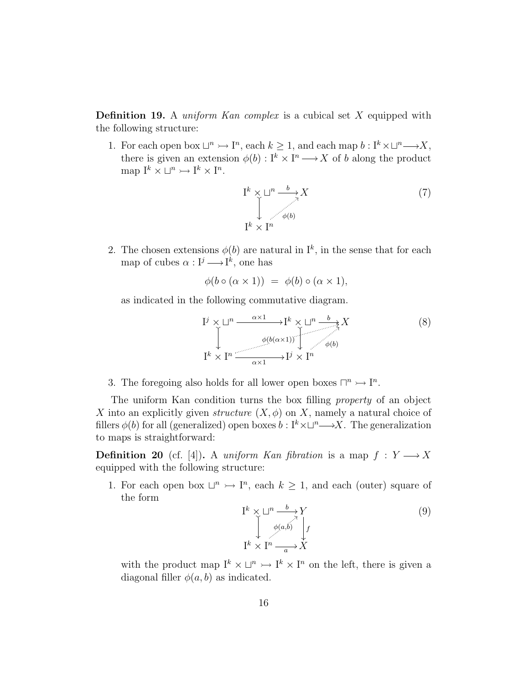**Definition 19.** A *uniform Kan complex* is a cubical set X equipped with the following structure:

1. For each open box  $\Box^n \rightarrowtail I^n$ , each  $k \geq 1$ , and each map  $b: I^k \times \Box^n \longrightarrow X$ , there is given an extension  $\phi(b): I^k \times I^n \longrightarrow X$  of b along the product map  $I^k \times \square^n \rightarrowtail I^k \times I^n$ .

$$
\begin{aligned}\n &\mathbf{I}^k \times \sqcup^n \xrightarrow{b} X \\
 &\downarrow \qquad \qquad \downarrow \qquad \qquad (7) \\
 &\mathbf{I}^k \times \mathbf{I}^n\n \end{aligned}
$$

2. The chosen extensions  $\phi(b)$  are natural in  $I^k$ , in the sense that for each map of cubes  $\alpha: I^j \longrightarrow I^k$ , one has

$$
\phi(b \circ (\alpha \times 1)) = \phi(b) \circ (\alpha \times 1),
$$

as indicated in the following commutative diagram.

$$
\begin{array}{ccc}\nI^{j} \times \square^{n} & \xrightarrow{\alpha \times 1} & I^{k} \times \square^{n} & \xrightarrow{b} & X \\
\downarrow & & \downarrow & & \downarrow & \\
I^{k} \times I^{n} & \xrightarrow{\alpha \times 1} & I^{j} \times I^{n} & \\
\end{array} \tag{8}
$$

3. The foregoing also holds for all lower open boxes  $\Box^n \rightarrow \Box^n$ .

The uniform Kan condition turns the box filling property of an object X into an explicitly given *structure*  $(X, \phi)$  on X, namely a natural choice of fillers  $\phi(b)$  for all (generalized) open boxes  $b : I^k \times \Box^n \longrightarrow X$ . The generalization to maps is straightforward:

**Definition 20** (cf. [4]). A uniform Kan fibration is a map  $f: Y \longrightarrow X$ equipped with the following structure:

1. For each open box  $\Box^n \rightarrow \Box^n$ , each  $k \geq 1$ , and each (outer) square of the form

$$
\begin{array}{ccc}\nI^k \times \sqcup^n \xrightarrow{b} Y \\
\downarrow^{\phi(a,b)} \downarrow^{\phi(a,b)} \\
I^k \times I^n \xrightarrow{a} X\n\end{array} \tag{9}
$$

with the product map  $I^k \times \square^n \rightarrow I^k \times I^n$  on the left, there is given a diagonal filler  $\phi(a, b)$  as indicated.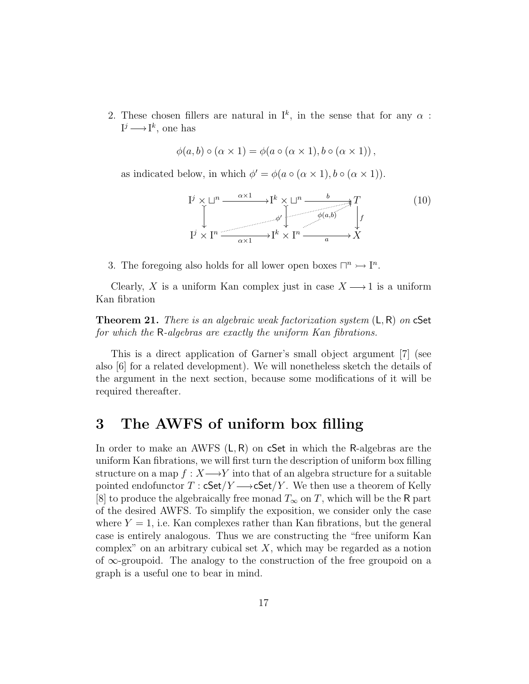2. These chosen fillers are natural in  $I^k$ , in the sense that for any  $\alpha$ :  $I^j \longrightarrow I^k$ , one has

$$
\phi(a,b) \circ (\alpha \times 1) = \phi(a \circ (\alpha \times 1), b \circ (\alpha \times 1)),
$$

as indicated below, in which  $\phi' = \phi(a \circ (\alpha \times 1), b \circ (\alpha \times 1)).$ 



3. The foregoing also holds for all lower open boxes  $\Box^n \rightarrow \Box^n$ .

Clearly, X is a uniform Kan complex just in case  $X \longrightarrow 1$  is a uniform Kan fibration

**Theorem 21.** There is an algebraic weak factorization system  $(L, R)$  on cSet for which the R-algebras are exactly the uniform Kan fibrations.

This is a direct application of Garner's small object argument [7] (see also [6] for a related development). We will nonetheless sketch the details of the argument in the next section, because some modifications of it will be required thereafter.

## 3 The AWFS of uniform box filling

In order to make an AWFS  $(L, R)$  on cSet in which the R-algebras are the uniform Kan fibrations, we will first turn the description of uniform box filling structure on a map  $f: X \longrightarrow Y$  into that of an algebra structure for a suitable pointed endofunctor  $T : cSet/Y \longrightarrow cSet/Y$ . We then use a theorem of Kelly [8] to produce the algebraically free monad  $T_{\infty}$  on T, which will be the R part of the desired AWFS. To simplify the exposition, we consider only the case where  $Y = 1$ , i.e. Kan complexes rather than Kan fibrations, but the general case is entirely analogous. Thus we are constructing the "free uniform Kan complex" on an arbitrary cubical set  $X$ , which may be regarded as a notion of ∞-groupoid. The analogy to the construction of the free groupoid on a graph is a useful one to bear in mind.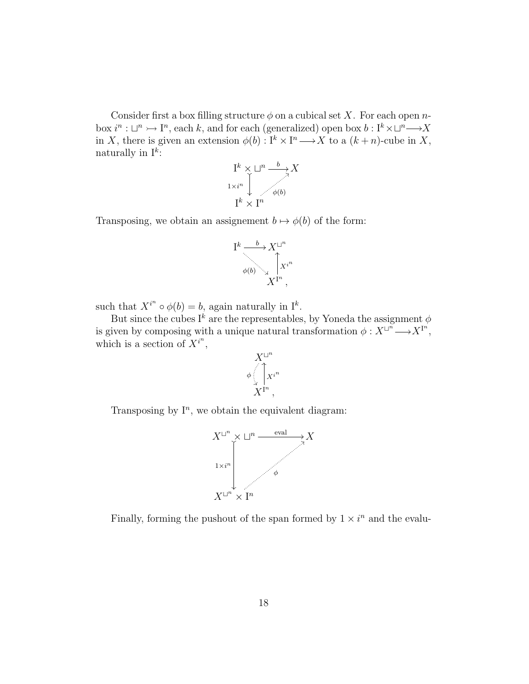Consider first a box filling structure  $\phi$  on a cubical set X. For each open nbox  $i^n : \Box^n \rightarrowtail \mathrm{I}^n$ , each k, and for each (generalized) open box  $b : \mathrm{I}^k \times \Box^n \longrightarrow X$ in X, there is given an extension  $\phi(b) : I^k \times I^n \longrightarrow X$  to a  $(k+n)$ -cube in X, naturally in  $I^k$ :



Transposing, we obtain an assignement  $b \mapsto \phi(b)$  of the form:



such that  $X^{i^n} \circ \phi(b) = b$ , again naturally in  $I^k$ .

But since the cubes I<sup>k</sup> are the representables, by Yoneda the assignment  $\phi$ is given by composing with a unique natural transformation  $\phi: X^{\sqcup^n} \longrightarrow X^{\text{I}^n}$ , which is a section of  $X^{i^n}$ ,



Transposing by  $I<sup>n</sup>$ , we obtain the equivalent diagram:



Finally, forming the pushout of the span formed by  $1 \times i^n$  and the evalu-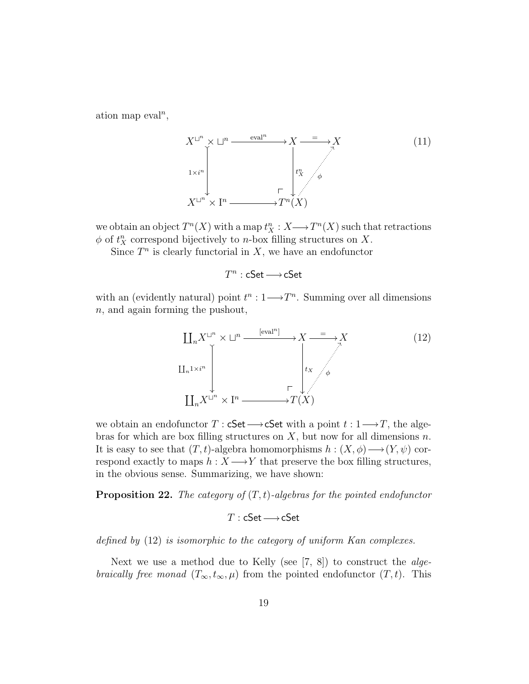ation map  $eval<sup>n</sup>$ ,



we obtain an object  $T^n(X)$  with a map  $t_X^n : X \longrightarrow T^n(X)$  such that retractions  $\phi$  of  $t_X^n$  correspond bijectively to *n*-box filling structures on X.

Since  $T^n$  is clearly functorial in X, we have an endofunctor

 $T^n : \mathsf{cSet} \longrightarrow \mathsf{cSet}$ 

with an (evidently natural) point  $t^n: 1 \longrightarrow T^n$ . Summing over all dimensions n, and again forming the pushout,



we obtain an endofunctor  $T : \mathsf{cSet} \longrightarrow \mathsf{cSet}$  with a point  $t : 1 \longrightarrow T$ , the algebras for which are box filling structures on  $X$ , but now for all dimensions  $n$ . It is easy to see that  $(T, t)$ -algebra homomorphisms  $h : (X, \phi) \longrightarrow (Y, \psi)$  correspond exactly to maps  $h: X \longrightarrow Y$  that preserve the box filling structures, in the obvious sense. Summarizing, we have shown:

**Proposition 22.** The category of  $(T, t)$ -algebras for the pointed endofunctor

$$
T:\mathsf{cSet} \longrightarrow \mathsf{cSet}
$$

defined by (12) is isomorphic to the category of uniform Kan complexes.

Next we use a method due to Kelly (see [7, 8]) to construct the *algebraically free monad*  $(T_\infty, t_\infty, \mu)$  from the pointed endofunctor  $(T, t)$ . This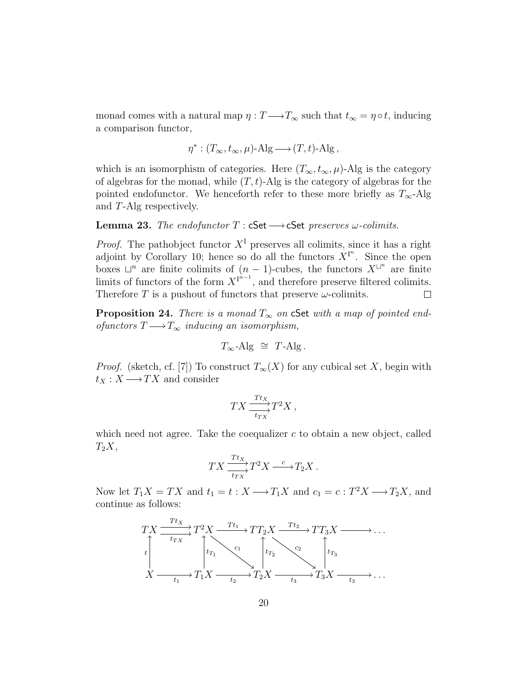monad comes with a natural map  $\eta : T \longrightarrow T_{\infty}$  such that  $t_{\infty} = \eta \circ t$ , inducing a comparison functor,

$$
\eta^*: (T_{\infty}, t_{\infty}, \mu)\text{-Alg} \longrightarrow (T, t)\text{-Alg},
$$

which is an isomorphism of categories. Here  $(T_{\infty}, t_{\infty}, \mu)$ -Alg is the category of algebras for the monad, while  $(T, t)$ -Alg is the category of algebras for the pointed endofunctor. We henceforth refer to these more briefly as  $T_{\infty}$ -Alg and T-Alg respectively.

#### **Lemma 23.** The endofunctor  $T : cSet \longrightarrow cSet$  preserves  $\omega$ -colimits.

*Proof.* The pathobject functor  $X<sup>T</sup>$  preserves all colimits, since it has a right adjoint by Corollary 10; hence so do all the functors  $X^{I^n}$ . Since the open boxes  $\Box^n$  are finite colimits of  $(n-1)$ -cubes, the functors  $X^{\Box^n}$  are finite limits of functors of the form  $X^{I^{n-1}}$ , and therefore preserve filtered colimits. Therefore T is a pushout of functors that preserve  $\omega$ -colimits.  $\Box$ 

**Proposition 24.** There is a monad  $T_{\infty}$  on cSet with a map of pointed endofunctors  $T \longrightarrow T_{\infty}$  inducing an isomorphism,

$$
T_{\infty} - \text{Alg} \ \cong \ T - \text{Alg} \ .
$$

*Proof.* (sketch, cf. [7]) To construct  $T_{\infty}(X)$  for any cubical set X, begin with  $t_X : X \longrightarrow TX$  and consider

$$
TX \frac{\frac{Tt_X}{t_{TX}}}{t_{TX}} T^2 X,
$$

which need not agree. Take the coequalizer  $c$  to obtain a new object, called  $T_2X$ ,

$$
TX \xrightarrow[t_{TX} T^2 X \xrightarrow{c} T_2 X.
$$

Now let  $T_1X = TX$  and  $t_1 = t : X \longrightarrow T_1X$  and  $c_1 = c : T^2X \longrightarrow T_2X$ , and continue as follows:

$$
TX \xrightarrow{Tt_X} T^2 X \xrightarrow{Tt_1} TT_2 X \xrightarrow{Tt_2} TT_3 X \xrightarrow{t_{TX}} \dots
$$
  
\n
$$
\downarrow T_1 X \xrightarrow{c_1} T_1 X \xrightarrow{c_1} T_2 X \xrightarrow{c_2} T_3 X \xrightarrow{t_3} \dots
$$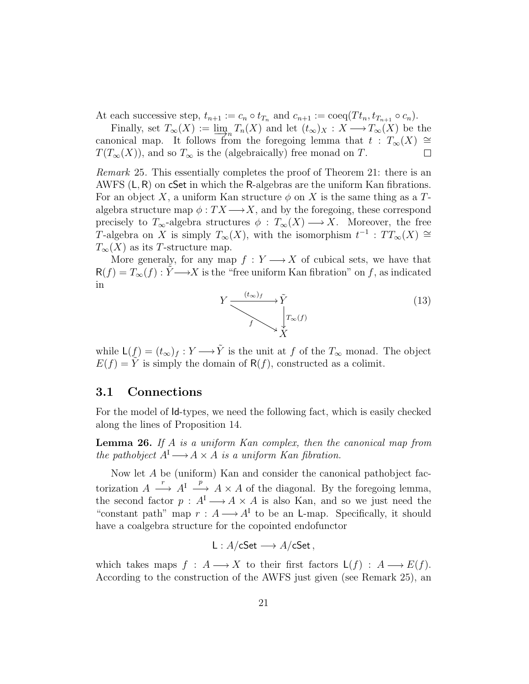At each successive step,  $t_{n+1} := c_n \circ t_{T_n}$  and  $c_{n+1} := \text{coeq}(T t_n, t_{T_{n+1}} \circ c_n)$ .

Finally, set  $T_{\infty}(X) := \lim_{\mathcal{A} \to \mathcal{A}} T_n(X)$  and let  $(t_{\infty})_X : X \longrightarrow T_{\infty}(X)$  be the canonical map. It follows from the foregoing lemma that  $t : T_{\infty}(X) \cong$  $T(T_{\infty}(X))$ , and so  $T_{\infty}$  is the (algebraically) free monad on T.  $\Box$ 

Remark 25. This essentially completes the proof of Theorem 21: there is an AWFS  $(L, R)$  on cSet in which the R-algebras are the uniform Kan fibrations. For an object X, a uniform Kan structure  $\phi$  on X is the same thing as a Talgebra structure map  $\phi: TX \longrightarrow X$ , and by the foregoing, these correspond precisely to  $T_{\infty}$ -algebra structures  $\phi : T_{\infty}(X) \longrightarrow X$ . Moreover, the free T-algebra on X is simply  $T_{\infty}(X)$ , with the isomorphism  $t^{-1}$ :  $TT_{\infty}(X) \cong$  $T_{\infty}(X)$  as its T-structure map.

More generaly, for any map  $f: Y \longrightarrow X$  of cubical sets, we have that  $R(f) = T_{\infty}(f) : \tilde{Y} \longrightarrow X$  is the "free uniform Kan fibration" on f, as indicated in

$$
Y \xrightarrow{\left(t_{\infty}\right)_{f}} \widetilde{Y} \tag{13}
$$

while  $\mathsf{L}(f) = (t_{\infty})_f : Y \longrightarrow \tilde{Y}$  is the unit at f of the  $T_{\infty}$  monad. The object  $E(f) = \overline{Y}$  is simply the domain of  $R(f)$ , constructed as a colimit.

#### 3.1 Connections

For the model of Id-types, we need the following fact, which is easily checked along the lines of Proposition 14.

**Lemma 26.** If A is a uniform Kan complex, then the canonical map from the pathobject  $A^I \longrightarrow A \times A$  is a uniform Kan fibration.

Now let A be (uniform) Kan and consider the canonical pathobject factorization  $A \stackrel{r}{\longrightarrow} A^I \stackrel{p}{\longrightarrow} A \times A$  of the diagonal. By the foregoing lemma, the second factor  $p : A^I \longrightarrow A \times A$  is also Kan, and so we just need the "constant path" map  $r : A \longrightarrow A^{I}$  to be an L-map. Specifically, it should have a coalgebra structure for the copointed endofunctor

$$
L: A/\mathsf{cSet} \longrightarrow A/\mathsf{cSet} \,,
$$

which takes maps  $f : A \longrightarrow X$  to their first factors  $\mathsf{L}(f) : A \longrightarrow E(f)$ . According to the construction of the AWFS just given (see Remark 25), an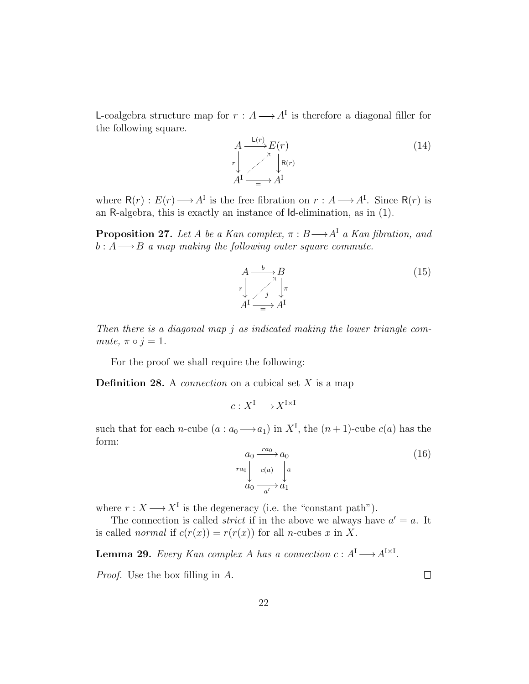L-coalgebra structure map for  $r : A \longrightarrow A^{I}$  is therefore a diagonal filler for the following square.

$$
A \xrightarrow{\mathsf{L}(r)} E(r)
$$
  
\n
$$
r \downarrow \qquad \qquad \downarrow \mathsf{R}(r)
$$
  
\n
$$
A^{\mathsf{I}} \xrightarrow{\qquad \qquad \downarrow \mathsf{R}(r)}
$$
\n
$$
(14)
$$

where  $R(r) : E(r) \longrightarrow A^{I}$  is the free fibration on  $r : A \longrightarrow A^{I}$ . Since  $R(r)$  is an R-algebra, this is exactly an instance of Id-elimination, as in (1).

**Proposition 27.** Let A be a Kan complex,  $\pi : B \longrightarrow A^{\mathcal{I}}$  a Kan fibration, and  $b: A \longrightarrow B$  a map making the following outer square commute.

$$
A \xrightarrow{b} B
$$
  
\n
$$
r \downarrow \qquad \qquad \nearrow \downarrow \pi
$$
  
\n
$$
A^{\mathrm{I}} \xrightarrow{f} A^{\mathrm{I}}
$$
 (15)

Then there is a diagonal map j as indicated making the lower triangle commute,  $\pi \circ j = 1$ .

For the proof we shall require the following:

**Definition 28.** A *connection* on a cubical set  $X$  is a map

$$
c: X^{\mathrm{I}} \longrightarrow X^{\mathrm{I} \times \mathrm{I}}
$$

such that for each *n*-cube  $(a: a_0 \longrightarrow a_1)$  in  $X^I$ , the  $(n + 1)$ -cube  $c(a)$  has the form:

$$
a_0 \xrightarrow{ra_0} a_0
$$
  
\n
$$
ra_0
$$
\n
$$
\downarrow c(a)
$$
\n
$$
\downarrow a
$$
\n
$$
a_0 \xrightarrow{a'} a_1
$$
\n(16)

where  $r : X \longrightarrow X^I$  is the degeneracy (i.e. the "constant path").

The connection is called *strict* if in the above we always have  $a' = a$ . It is called *normal* if  $c(r(x)) = r(r(x))$  for all *n*-cubes x in X.

**Lemma 29.** Every Kan complex A has a connection  $c : A<sup>I</sup> \longrightarrow A<sup>I\times I</sup>$ .

Proof. Use the box filling in A.

 $\Box$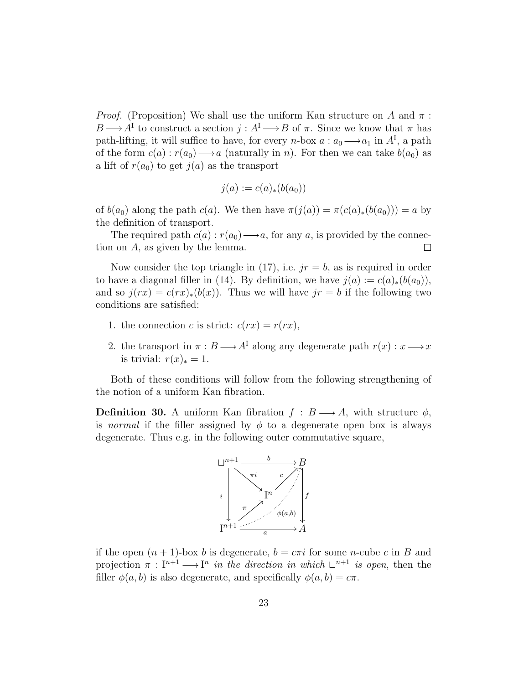*Proof.* (Proposition) We shall use the uniform Kan structure on A and  $\pi$ :  $B \longrightarrow A^{\mathcal{I}}$  to construct a section  $j : A^{\mathcal{I}} \longrightarrow B$  of  $\pi$ . Since we know that  $\pi$  has path-lifting, it will suffice to have, for every *n*-box  $a: a_0 \longrightarrow a_1$  in  $A<sup>I</sup>$ , a path of the form  $c(a) : r(a_0) \longrightarrow a$  (naturally in n). For then we can take  $b(a_0)$  as a lift of  $r(a_0)$  to get  $j(a)$  as the transport

$$
j(a) := c(a)_*(b(a_0))
$$

of  $b(a_0)$  along the path  $c(a)$ . We then have  $\pi(j(a)) = \pi(c(a)_*(b(a_0))) = a$  by the definition of transport.

The required path  $c(a) : r(a_0) \rightarrow a$ , for any a, is provided by the connection on A, as given by the lemma.  $\Box$ 

Now consider the top triangle in (17), i.e.  $jr = b$ , as is required in order to have a diagonal filler in (14). By definition, we have  $j(a) := c(a)_*(b(a_0)),$ and so  $j(rx) = c(rx)_*(b(x))$ . Thus we will have  $jr = b$  if the following two conditions are satisfied:

- 1. the connection c is strict:  $c(rx) = r(rx)$ ,
- 2. the transport in  $\pi : B \longrightarrow A^{\mathcal{I}}$  along any degenerate path  $r(x) : x \longrightarrow x$ is trivial:  $r(x)_* = 1$ .

Both of these conditions will follow from the following strengthening of the notion of a uniform Kan fibration.

**Definition 30.** A uniform Kan fibration  $f : B \longrightarrow A$ , with structure  $\phi$ , is normal if the filler assigned by  $\phi$  to a degenerate open box is always degenerate. Thus e.g. in the following outer commutative square,



if the open  $(n + 1)$ -box b is degenerate,  $b = c\pi i$  for some n-cube c in B and projection  $\pi : I^{n+1} \longrightarrow I^n$  in the direction in which  $\Box^{n+1}$  is open, then the filler  $\phi(a, b)$  is also degenerate, and specifically  $\phi(a, b) = c\pi$ .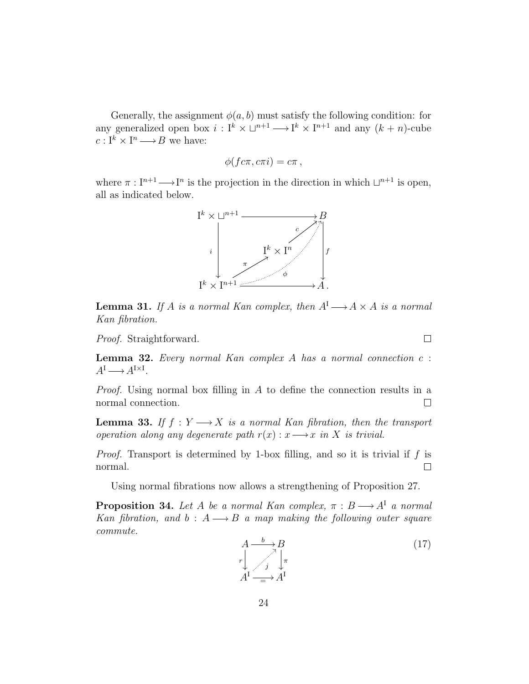Generally, the assignment  $\phi(a, b)$  must satisfy the following condition: for any generalized open box  $i: I^k \times \square^{n+1} \longrightarrow I^k \times I^{n+1}$  and any  $(k+n)$ -cube  $c: \mathcal{I}^k \times \mathcal{I}^n \longrightarrow B$  we have:

$$
\phi(f c \pi, c \pi i) = c \pi,
$$

where  $\pi : I^{n+1} \longrightarrow I^n$  is the projection in the direction in which  $\Box^{n+1}$  is open, all as indicated below.



**Lemma 31.** If A is a normal Kan complex, then  $A^I \longrightarrow A \times A$  is a normal Kan fibration.

Proof. Straightforward.

**Lemma 32.** Every normal Kan complex  $A$  has a normal connection  $c$ :  $A^{\rm I} \longrightarrow A^{\rm I \times I}.$ 

Proof. Using normal box filling in A to define the connection results in a normal connection.  $\Box$ 

**Lemma 33.** If  $f: Y \longrightarrow X$  is a normal Kan fibration, then the transport operation along any degenerate path  $r(x) : x \longrightarrow x$  in X is trivial.

*Proof.* Transport is determined by 1-box filling, and so it is trivial if f is normal.  $\Box$ 

Using normal fibrations now allows a strengthening of Proposition 27.

**Proposition 34.** Let A be a normal Kan complex,  $\pi : B \longrightarrow A^{\mathsf{T}}$  a normal Kan fibration, and b :  $A \rightarrow B$  a map making the following outer square commute.

$$
A \xrightarrow{b} B
$$
  
\n
$$
r \downarrow \qquad \qquad \nearrow \qquad \nearrow \qquad \nearrow
$$
  
\n
$$
A^{\mathrm{I}} \xrightarrow{A^{\mathrm{I}}} A^{\mathrm{I}}
$$
 (17)

 $\Box$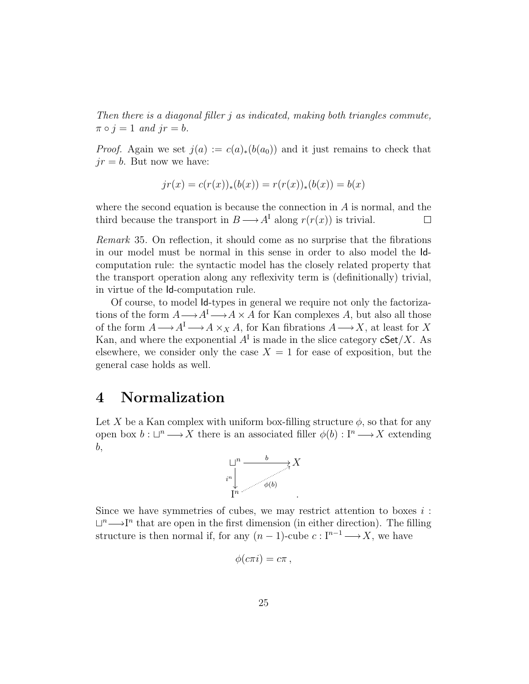Then there is a diagonal filler j as indicated, making both triangles commute,  $\pi \circ j = 1$  and  $jr = b$ .

*Proof.* Again we set  $j(a) := c(a)_*(b(a_0))$  and it just remains to check that  $jr = b$ . But now we have:

$$
jr(x) = c(r(x))_{*}(b(x)) = r(r(x))_{*}(b(x)) = b(x)
$$

where the second equation is because the connection in  $A$  is normal, and the third because the transport in  $B \longrightarrow A^I$  along  $r(r(x))$  is trivial.  $\Box$ 

Remark 35. On reflection, it should come as no surprise that the fibrations in our model must be normal in this sense in order to also model the Idcomputation rule: the syntactic model has the closely related property that the transport operation along any reflexivity term is (definitionally) trivial, in virtue of the Id-computation rule.

Of course, to model Id-types in general we require not only the factorizations of the form  $A \longrightarrow A^I \longrightarrow A \times A$  for Kan complexes A, but also all those of the form  $A \longrightarrow A^I \longrightarrow A \times_X A$ , for Kan fibrations  $A \longrightarrow X$ , at least for X Kan, and where the exponential  $A<sup>I</sup>$  is made in the slice category  $cSet/X$ . As elsewhere, we consider only the case  $X = 1$  for ease of exposition, but the general case holds as well.

# 4 Normalization

Let X be a Kan complex with uniform box-filling structure  $\phi$ , so that for any open box  $b: \Box^n \longrightarrow X$  there is an associated filler  $\phi(b): \Box^n \longrightarrow X$  extending b,



Since we have symmetries of cubes, we may restrict attention to boxes  $i$ :  $\Box^n \longrightarrow I^n$  that are open in the first dimension (in either direction). The filling structure is then normal if, for any  $(n-1)$ -cube  $c: \mathbb{I}^{n-1} \longrightarrow X$ , we have

$$
\phi(c\pi i)=c\pi\,,
$$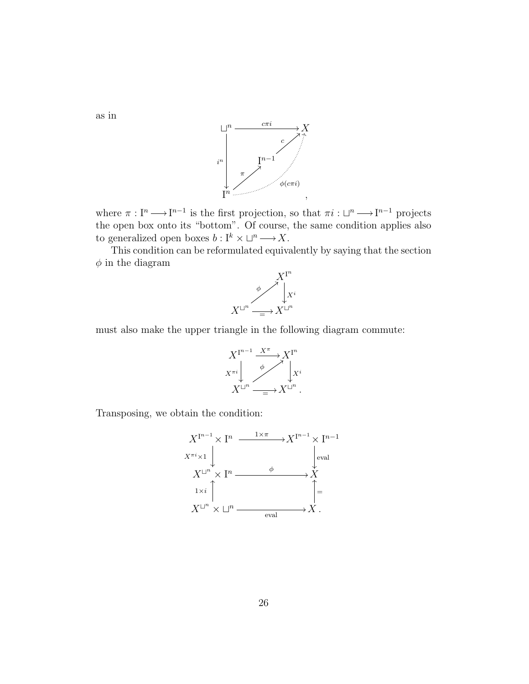

where  $\pi : I^n \longrightarrow I^{n-1}$  is the first projection, so that  $\pi i : \Box^n \longrightarrow I^{n-1}$  projects the open box onto its "bottom". Of course, the same condition applies also to generalized open boxes  $b: I^k \times \Box^n \longrightarrow X$ .

This condition can be reformulated equivalently by saying that the section  $\phi$  in the diagram



must also make the upper triangle in the following diagram commute:



Transposing, we obtain the condition:



as in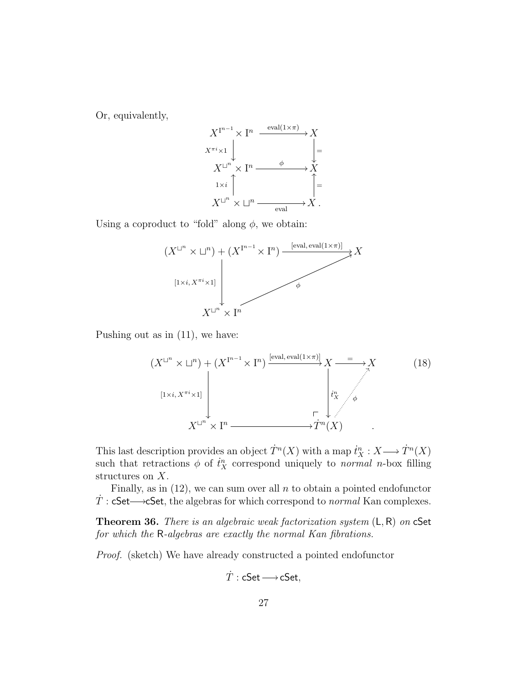Or, equivalently,



Using a coproduct to "fold" along  $\phi$ , we obtain:



Pushing out as in (11), we have:

$$
(X^{\sqcup^n} \times \sqcup^n) + (X^{\mathbf{I}^{n-1}} \times \mathbf{I}^n) \xrightarrow{\text{[eval, eval(1×\pi)]}} X \xrightarrow{\qquad} X
$$
\n
$$
\downarrow \qquad \qquad \downarrow \qquad \qquad \downarrow \qquad \qquad \downarrow \qquad \downarrow \qquad \downarrow \qquad \downarrow \qquad \downarrow \qquad \downarrow \qquad \downarrow \qquad \downarrow \qquad \downarrow \qquad \downarrow \qquad \downarrow \qquad \downarrow \qquad \downarrow \qquad \downarrow \qquad \downarrow \qquad \downarrow \qquad \downarrow \qquad \downarrow \qquad \downarrow \qquad \downarrow \qquad \downarrow \qquad \downarrow \qquad \downarrow \qquad \downarrow \qquad \downarrow \qquad \downarrow \qquad \downarrow \qquad \downarrow \qquad \downarrow \qquad \downarrow \qquad \downarrow \qquad \downarrow \qquad \downarrow \qquad \downarrow \qquad \downarrow \qquad \downarrow \qquad \downarrow \qquad \downarrow \qquad \downarrow \qquad \downarrow \qquad \downarrow \qquad \downarrow \qquad \downarrow \qquad \downarrow \qquad \downarrow \qquad \downarrow \qquad \downarrow \qquad \downarrow \qquad \downarrow \qquad \downarrow \qquad \downarrow \qquad \downarrow \qquad \downarrow \qquad \downarrow \qquad \downarrow \qquad \downarrow \qquad \downarrow \qquad \downarrow \qquad \downarrow \qquad \downarrow \qquad \downarrow \qquad \downarrow \qquad \downarrow \qquad \downarrow \qquad \downarrow \qquad \downarrow \qquad \downarrow \qquad \downarrow \qquad \downarrow \qquad \downarrow \qquad \downarrow \qquad \downarrow \qquad \downarrow \qquad \downarrow \qquad \downarrow \qquad \downarrow \qquad \downarrow \qquad \downarrow \qquad \downarrow \qquad \downarrow \qquad \downarrow \qquad \downarrow \qquad \downarrow \qquad \downarrow \qquad \downarrow \qquad \downarrow \qquad \downarrow \qquad \downarrow \qquad \downarrow \qquad \downarrow \qquad \downarrow \qquad \downarrow \qquad \downarrow \qquad \downarrow \qquad \downarrow \qquad \downarrow \qquad \downarrow \qquad \downarrow \qquad \downarrow \qquad \downarrow \qquad \downarrow \qquad \downarrow \qquad \downarrow \qquad \downarrow \qquad \downarrow \qquad \downarrow \qquad \downarrow \qquad \downarrow \qquad \downarrow \qquad \downarrow
$$

This last description provides an object  $\dot{T}^n(X)$  with a map  $\dot{t}_X^n : X \longrightarrow \dot{T}^n(X)$ such that retractions  $\phi$  of  $\dot{t}_X^n$  correspond uniquely to *normal n*-box filling structures on X.

Finally, as in  $(12)$ , we can sum over all n to obtain a pointed endofunctor  $\dot{T}$ : cSet— $\rightarrow$ cSet, the algebras for which correspond to *normal* Kan complexes.

**Theorem 36.** There is an algebraic weak factorization system  $(L, R)$  on  $C$ Set for which the R-algebras are exactly the normal Kan fibrations.

Proof. (sketch) We have already constructed a pointed endofunctor

$$
\dot{T}:\mathsf{cSet} {\longrightarrow} \mathsf{cSet},
$$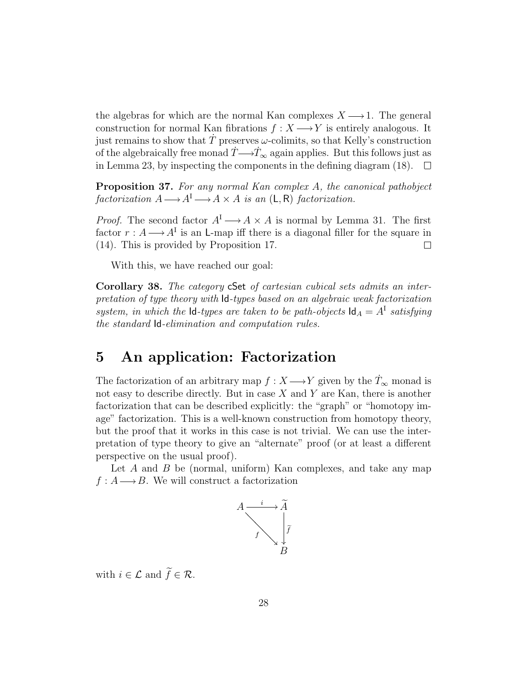the algebras for which are the normal Kan complexes  $X \longrightarrow 1$ . The general construction for normal Kan fibrations  $f : X \longrightarrow Y$  is entirely analogous. It just remains to show that  $T$  preserves  $\omega$ -colimits, so that Kelly's construction of the algebraically free monad  $T \rightarrow T_{\infty}$  again applies. But this follows just as in Lemma 23, by inspecting the components in the defining diagram (18).  $\Box$ 

Proposition 37. For any normal Kan complex A, the canonical pathobject factorization  $A \longrightarrow A^I \longrightarrow A \times A$  is an  $(L, R)$  factorization.

*Proof.* The second factor  $A<sup>I</sup> \longrightarrow A \times A$  is normal by Lemma 31. The first factor  $r : A \longrightarrow A^{I}$  is an L-map iff there is a diagonal filler for the square in (14). This is provided by Proposition 17.  $\Box$ 

With this, we have reached our goal:

Corollary 38. The category cSet of cartesian cubical sets admits an interpretation of type theory with Id-types based on an algebraic weak factorization system, in which the  $\mathsf{Id}$ -types are taken to be path-objects  $\mathsf{Id}_A = A^{\mathsf{T}}$  satisfying the standard Id-elimination and computation rules.

### 5 An application: Factorization

The factorization of an arbitrary map  $f : X \longrightarrow Y$  given by the  $\dot{T}_{\infty}$  monad is not easy to describe directly. But in case  $X$  and  $Y$  are Kan, there is another factorization that can be described explicitly: the "graph" or "homotopy image" factorization. This is a well-known construction from homotopy theory, but the proof that it works in this case is not trivial. We can use the interpretation of type theory to give an "alternate" proof (or at least a different perspective on the usual proof).

Let  $A$  and  $B$  be (normal, uniform) Kan complexes, and take any map  $f : A \longrightarrow B$ . We will construct a factorization



with  $i \in \mathcal{L}$  and  $\widetilde{f} \in \mathcal{R}$ .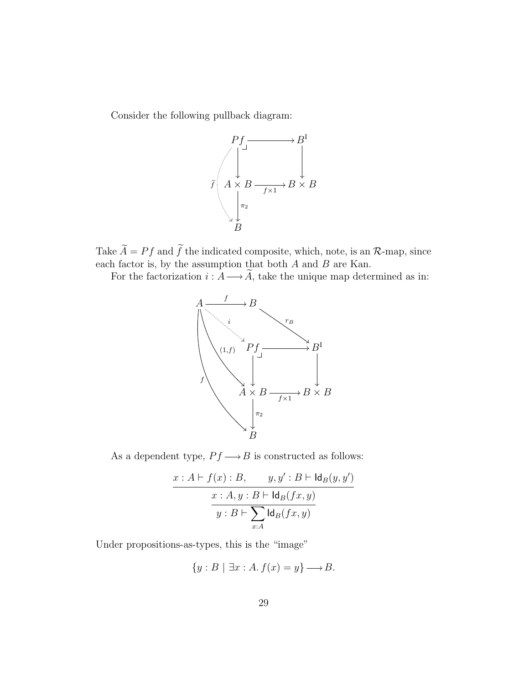Consider the following pullback diagram:



Take  $\widetilde{A} = Pf$  and  $\widetilde{f}$  the indicated composite, which, note, is an  $\mathcal{R}$ -map, since each factor is, by the assumption that both  $A$  and  $B$  are Kan.

For the factorization  $i : A \longrightarrow \tilde{A}$ , take the unique map determined as in:



As a dependent type,  $Pf {\,\longrightarrow\,} B$  is constructed as follows:

$$
\frac{x:A\vdash f(x):B, \qquad y,y':B\vdash \mathsf{Id}_B(y,y')}{x:A,y:B\vdash \mathsf{Id}_B(fx,y)}
$$

$$
\overline{y:B\vdash \sum_{x:A}\mathsf{Id}_B(fx,y)}
$$

Under propositions-as-types, this is the "image"

$$
\{y : B \mid \exists x : A. f(x) = y\} \longrightarrow B.
$$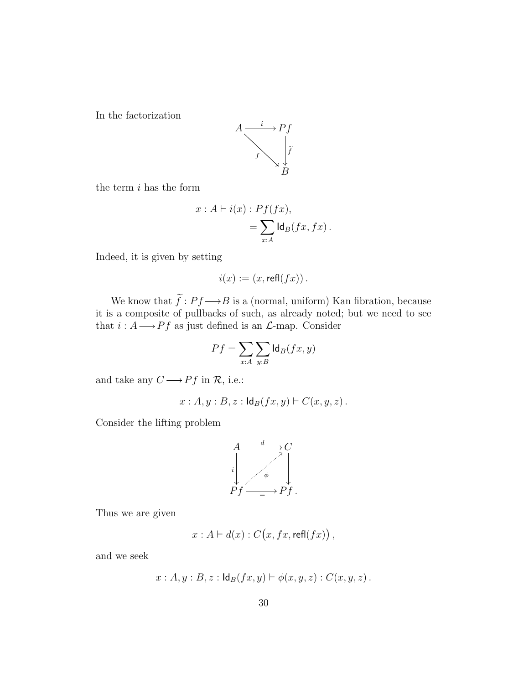In the factorization



the term  $i$  has the form

$$
x : A \vdash i(x) : Pf(fx),
$$
  
= 
$$
\sum_{x:A} \text{Id}_{B}(fx, fx).
$$

Indeed, it is given by setting

$$
i(x) := (x, \mathsf{refl}(fx)).
$$

We know that  $\widetilde{f}: Pf \longrightarrow B$  is a (normal, uniform) Kan fibration, because it is a composite of pullbacks of such, as already noted; but we need to see that  $i : A \longrightarrow Pf$  as just defined is an  $\mathcal{L}$ -map. Consider

$$
Pf = \sum_{x:A} \sum_{y:B} \text{Id}_B(fx, y)
$$

and take any  $C {\:\longrightarrow\:} Pf$  in  ${\mathcal R},$  i.e.:

$$
x:A, y:B, z: \mathsf{Id}_B(fx, y) \vdash C(x, y, z).
$$

Consider the lifting problem



Thus we are given

$$
x: A \vdash d(x): C(x, fx, \mathsf{refl}(fx)),
$$

and we seek

$$
x:A, y:B, z: \mathsf{Id}_B(fx, y) \vdash \phi(x, y, z): C(x, y, z).
$$